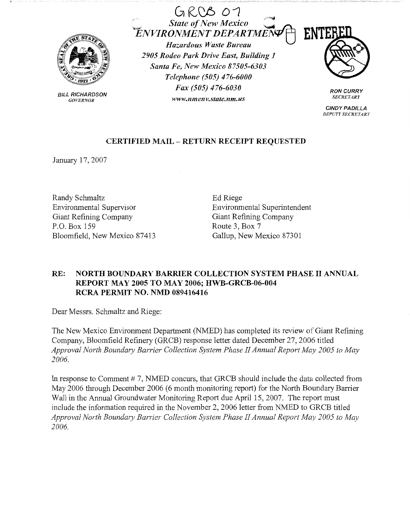

BILL RICHARDSON *GOVERNOR* 

 $GROB$  07 State of New Mexico **CALC PROPERTY POWERT DEPARTMENT FINT**  $F_{E}$ NVIRONMENT DEPARTME

*Hazardous Jf/aste Bureau 2905 Rodeo Park Drive East, Building 1 Santa Fe, New Mexico 87505-6303 Telephone (505) 476-6000 Fax (505) 476-6030 www.11me11v.state.nm.us* 



**RON CURRY**  *SECRETARY* 

**CINDY PADILLA**  *DEPUTY SECRETARJ'* 

## **CERTIFIED MAIL** - **RETURN RECEIPT REQUESTED**

January 17, 2007

Randy Schmaltz Environmental Supervisor Giant Refining Company P.O. Box 159 Bloomfield, New Mexico 87413 Ed Riege Environmental Superintendent Giant Refining Company Route 3, Box 7 Gallup, New Mexico 87301

## **RE: NORTH BOUNDARY BARRIER COLLECTION SYSTEM PHASE** II **ANNUAL REPORT MAY 2005 TO MAY 2006; HWB-GRCB-06-004 RCRA PERMIT NO. NMD 089416416**

Dear Messrs. Schmaltz and Riege:

The New Mexico Environment Department (NMED) has completed its review of Giant Refining Company, Bloomfield Refinery (GRCB) response letter dated December 27, 2006 titled Approval North Boundary Barrier Collection System Phase II Annual Report May 2005 to May *2006.* 

In response to Comment  $# 7$ , NMED concurs, that GRCB should include the data collected from May 2006 through December 2006 (6 month monitoring report) for the North Boundary Barrier Wall in the Annual Groundwater Monitoring Report due April 15, 2007. The report must include the information required in the November 2, 2006 letter from NMED to GRCB titled Approval North Boundary Barrier Collection System Phase II Annual Report May 2005 to May *2006.*